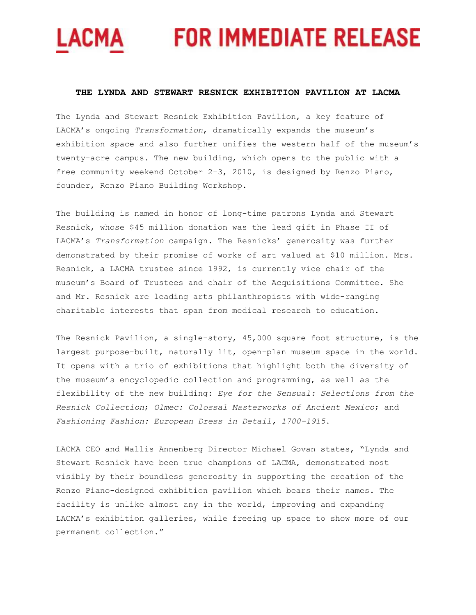# LACMA FOR IMMEDIATE RELEASE

# **THE LYNDA AND STEWART RESNICK EXHIBITION PAVILION AT LACMA**

The Lynda and Stewart Resnick Exhibition Pavilion, a key feature of LACMA's ongoing *Transformation*, dramatically expands the museum's exhibition space and also further unifies the western half of the museum's twenty-acre campus. The new building, which opens to the public with a free community weekend October 2–3, 2010, is designed by Renzo Piano, founder, Renzo Piano Building Workshop.

The building is named in honor of long-time patrons Lynda and Stewart Resnick, whose \$45 million donation was the lead gift in Phase II of LACMA's *Transformation* campaign. The Resnicks' generosity was further demonstrated by their promise of works of art valued at \$10 million. Mrs. Resnick, a LACMA trustee since 1992, is currently vice chair of the museum's Board of Trustees and chair of the Acquisitions Committee. She and Mr. Resnick are leading arts philanthropists with wide-ranging charitable interests that span from medical research to education.

The Resnick Pavilion, a single-story, 45,000 square foot structure, is the largest purpose-built, naturally lit, open-plan museum space in the world. It opens with a trio of exhibitions that highlight both the diversity of the museum's encyclopedic collection and programming, as well as the flexibility of the new building: *Eye for the Sensual: Selections from the Resnick Collection*; *Olmec: Colossal Masterworks of Ancient Mexico*; and *Fashioning Fashion: European Dress in Detail, 1700–1915*.

LACMA CEO and Wallis Annenberg Director Michael Govan states, "Lynda and Stewart Resnick have been true champions of LACMA, demonstrated most visibly by their boundless generosity in supporting the creation of the Renzo Piano-designed exhibition pavilion which bears their names. The facility is unlike almost any in the world, improving and expanding LACMA's exhibition galleries, while freeing up space to show more of our permanent collection."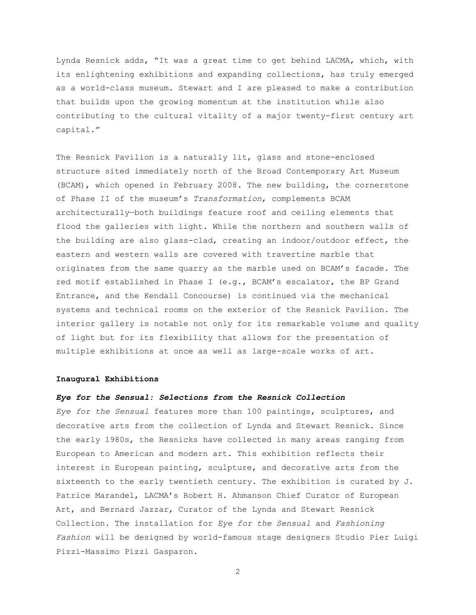Lynda Resnick adds, "It was a great time to get behind LACMA, which, with its enlightening exhibitions and expanding collections, has truly emerged as a world-class museum. Stewart and I are pleased to make a contribution that builds upon the growing momentum at the institution while also contributing to the cultural vitality of a major twenty-first century art capital."

The Resnick Pavilion is a naturally lit, glass and stone-enclosed structure sited immediately north of the Broad Contemporary Art Museum (BCAM), which opened in February 2008. The new building, the cornerstone of Phase II of the museum's *Transformation*, complements BCAM architecturally—both buildings feature roof and ceiling elements that flood the galleries with light. While the northern and southern walls of the building are also glass-clad, creating an indoor/outdoor effect, the eastern and western walls are covered with travertine marble that originates from the same quarry as the marble used on BCAM's facade. The red motif established in Phase I (e.g., BCAM's escalator, the BP Grand Entrance, and the Kendall Concourse) is continued via the mechanical systems and technical rooms on the exterior of the Resnick Pavilion. The interior gallery is notable not only for its remarkable volume and quality of light but for its flexibility that allows for the presentation of multiple exhibitions at once as well as large-scale works of art.

### **Inaugural Exhibitions**

### *Eye for the Sensual: Selections from the Resnick Collection*

*Eye for the Sensual* features more than 100 paintings, sculptures, and decorative arts from the collection of Lynda and Stewart Resnick. Since the early 1980s, the Resnicks have collected in many areas ranging from European to American and modern art. This exhibition reflects their interest in European painting, sculpture, and decorative arts from the sixteenth to the early twentieth century. The exhibition is curated by J. Patrice Marandel, LACMA's Robert H. Ahmanson Chief Curator of European Art, and Bernard Jazzar, Curator of the Lynda and Stewart Resnick Collection. The installation for *Eye for the Sensual* and *Fashioning Fashion* will be designed by world-famous stage designers Studio Pier Luigi Pizzi-Massimo Pizzi Gasparon.

2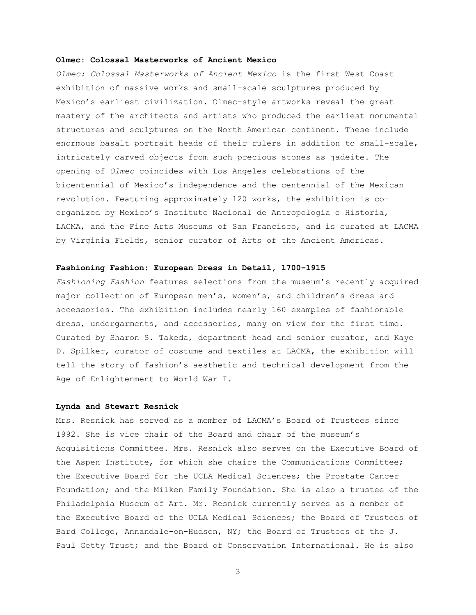# **Olmec: Colossal Masterworks of Ancient Mexico**

*Olmec: Colossal Masterworks of Ancient Mexico* is the first West Coast exhibition of massive works and small-scale sculptures produced by Mexico's earliest civilization. Olmec-style artworks reveal the great mastery of the architects and artists who produced the earliest monumental structures and sculptures on the North American continent. These include enormous basalt portrait heads of their rulers in addition to small-scale, intricately carved objects from such precious stones as jadeite. The opening of *Olmec* coincides with Los Angeles celebrations of the bicentennial of Mexico's independence and the centennial of the Mexican revolution. Featuring approximately 120 works, the exhibition is coorganized by Mexico's Instituto Nacional de Antropología e Historia, LACMA, and the Fine Arts Museums of San Francisco, and is curated at LACMA by Virginia Fields, senior curator of Arts of the Ancient Americas.

## **Fashioning Fashion: European Dress in Detail, 1700–1915**

*Fashioning Fashion* features selections from the museum's recently acquired major collection of European men's, women's, and children's dress and accessories. The exhibition includes nearly 160 examples of fashionable dress, undergarments, and accessories, many on view for the first time. Curated by Sharon S. Takeda, department head and senior curator, and Kaye D. Spilker, curator of costume and textiles at LACMA, the exhibition will tell the story of fashion's aesthetic and technical development from the Age of Enlightenment to World War I.

# **Lynda and Stewart Resnick**

Mrs. Resnick has served as a member of LACMA's Board of Trustees since 1992. She is vice chair of the Board and chair of the museum's Acquisitions Committee. Mrs. Resnick also serves on the Executive Board of the Aspen Institute, for which she chairs the Communications Committee; the Executive Board for the UCLA Medical Sciences; the Prostate Cancer Foundation; and the Milken Family Foundation. She is also a trustee of the Philadelphia Museum of Art. Mr. Resnick currently serves as a member of the Executive Board of the UCLA Medical Sciences; the Board of Trustees of Bard College, Annandale-on-Hudson, NY; the Board of Trustees of the J. Paul Getty Trust; and the Board of Conservation International. He is also

3